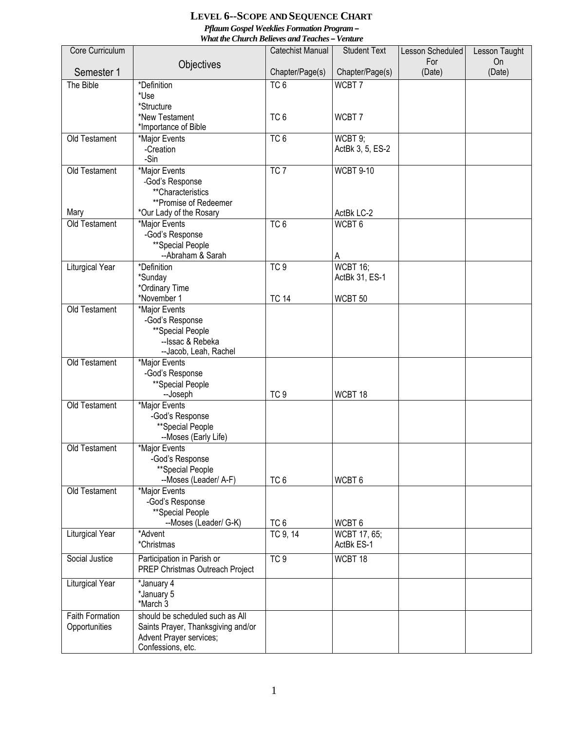## **LEVEL 6--SCOPE AND SEQUENCE CHART** *Pflaum Gospel Weeklies Formation Program – What the Church Believes and Teaches – Venture*

|                        |                                                               | wna me Church Beueves and Teaches — venuire |                     |                         |                     |
|------------------------|---------------------------------------------------------------|---------------------------------------------|---------------------|-------------------------|---------------------|
| Core Curriculum        |                                                               | <b>Catechist Manual</b>                     | <b>Student Text</b> | Lesson Scheduled<br>For | Lesson Taught<br>On |
| Semester 1             | Objectives                                                    | Chapter/Page(s)                             | Chapter/Page(s)     | (Date)                  | (Date)              |
| The Bible              | *Definition                                                   | $TC\overline{6}$                            | WCBT7               |                         |                     |
|                        | *Use                                                          |                                             |                     |                         |                     |
|                        | *Structure                                                    |                                             |                     |                         |                     |
|                        | *New Testament                                                | TC <sub>6</sub>                             | WCBT7               |                         |                     |
|                        | *Importance of Bible                                          |                                             |                     |                         |                     |
| Old Testament          | *Major Events                                                 | TC6                                         | WCBT 9;             |                         |                     |
|                        | -Creation                                                     |                                             | ActBk 3, 5, ES-2    |                         |                     |
|                        | -Sin                                                          |                                             |                     |                         |                     |
| Old Testament          | *Major Events                                                 | TC7                                         | <b>WCBT 9-10</b>    |                         |                     |
|                        | -God's Response                                               |                                             |                     |                         |                     |
|                        | **Characteristics                                             |                                             |                     |                         |                     |
|                        | **Promise of Redeemer                                         |                                             |                     |                         |                     |
| Mary                   | *Our Lady of the Rosary                                       |                                             | ActBk LC-2          |                         |                     |
| <b>Old Testament</b>   | *Major Events                                                 | TC <sub>6</sub>                             | WCBT <sub>6</sub>   |                         |                     |
|                        | -God's Response                                               |                                             |                     |                         |                     |
|                        | **Special People                                              |                                             |                     |                         |                     |
|                        | --Abraham & Sarah                                             |                                             | Α                   |                         |                     |
| Liturgical Year        | *Definition                                                   | TC9                                         | WCBT 16;            |                         |                     |
|                        | *Sunday                                                       |                                             | ActBk 31, ES-1      |                         |                     |
|                        | *Ordinary Time                                                |                                             |                     |                         |                     |
|                        | *November 1                                                   | <b>TC 14</b>                                | WCBT <sub>50</sub>  |                         |                     |
| Old Testament          | *Major Events                                                 |                                             |                     |                         |                     |
|                        | -God's Response                                               |                                             |                     |                         |                     |
|                        | **Special People                                              |                                             |                     |                         |                     |
|                        | --Issac & Rebeka                                              |                                             |                     |                         |                     |
|                        | --Jacob, Leah, Rachel                                         |                                             |                     |                         |                     |
| Old Testament          | *Major Events                                                 |                                             |                     |                         |                     |
|                        | -God's Response                                               |                                             |                     |                         |                     |
|                        | **Special People                                              |                                             |                     |                         |                     |
|                        | --Joseph                                                      | TC <sub>9</sub>                             | WCBT 18             |                         |                     |
| Old Testament          | *Major Events                                                 |                                             |                     |                         |                     |
|                        | -God's Response                                               |                                             |                     |                         |                     |
|                        | **Special People                                              |                                             |                     |                         |                     |
| Old Testament          | --Moses (Early Life)                                          |                                             |                     |                         |                     |
|                        | *Major Events                                                 |                                             |                     |                         |                     |
|                        | -God's Response                                               |                                             |                     |                         |                     |
|                        | **Special People<br>--Moses (Leader/ A-F)                     | TC <sub>6</sub>                             | WCBT <sub>6</sub>   |                         |                     |
| Old Testament          | *Major Events                                                 |                                             |                     |                         |                     |
|                        | -God's Response                                               |                                             |                     |                         |                     |
|                        | **Special People                                              |                                             |                     |                         |                     |
|                        | --Moses (Leader/ G-K)                                         | TC <sub>6</sub>                             | WCBT <sub>6</sub>   |                         |                     |
| Liturgical Year        | *Advent                                                       | TC 9, 14                                    | WCBT 17, 65;        |                         |                     |
|                        | *Christmas                                                    |                                             | ActBk ES-1          |                         |                     |
| Social Justice         |                                                               |                                             |                     |                         |                     |
|                        | Participation in Parish or<br>PREP Christmas Outreach Project | TC <sub>9</sub>                             | WCBT 18             |                         |                     |
| Liturgical Year        | *January 4                                                    |                                             |                     |                         |                     |
|                        | *January 5                                                    |                                             |                     |                         |                     |
|                        | *March 3                                                      |                                             |                     |                         |                     |
| <b>Faith Formation</b> | should be scheduled such as All                               |                                             |                     |                         |                     |
| Opportunities          | Saints Prayer, Thanksgiving and/or                            |                                             |                     |                         |                     |
|                        | Advent Prayer services;                                       |                                             |                     |                         |                     |
|                        | Confessions, etc.                                             |                                             |                     |                         |                     |